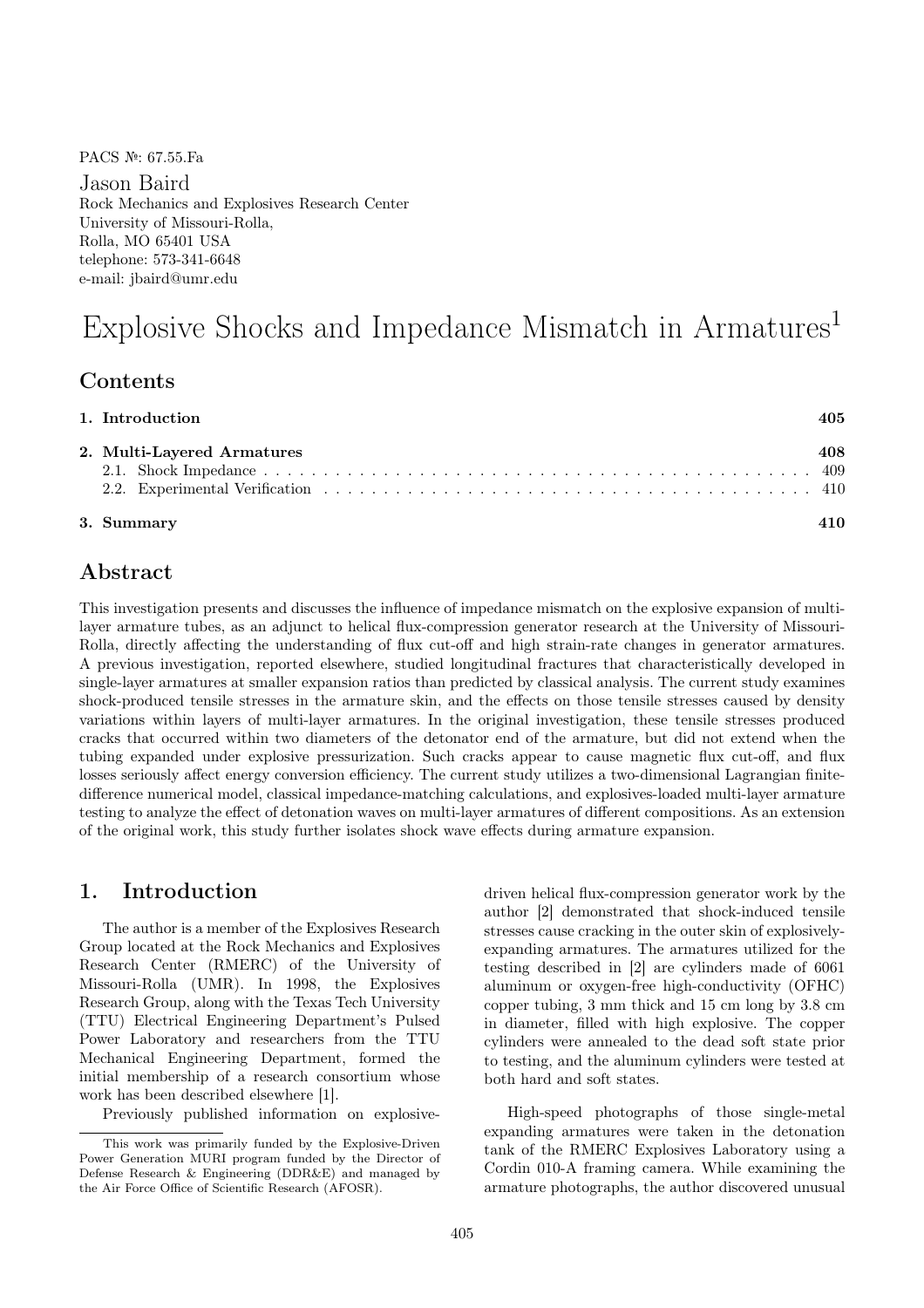PACS №: 67.55.Fa

Jason Baird Rock Mechanics and Explosives Research Center University of Missouri-Rolla, Rolla, MO 65401 USA telephone: 573-341-6648 e-mail: jbaird@umr.edu

# Explosive Shocks and Impedance Mismatch in Armatures<sup>1</sup>

### Contents

| 2. Multi-Layered Armatures | 408. |
|----------------------------|------|
|                            |      |
| 3. Summary                 |      |

# Abstract

This investigation presents and discusses the influence of impedance mismatch on the explosive expansion of multilayer armature tubes, as an adjunct to helical flux-compression generator research at the University of Missouri-Rolla, directly affecting the understanding of flux cut-off and high strain-rate changes in generator armatures. A previous investigation, reported elsewhere, studied longitudinal fractures that characteristically developed in single-layer armatures at smaller expansion ratios than predicted by classical analysis. The current study examines shock-produced tensile stresses in the armature skin, and the effects on those tensile stresses caused by density variations within layers of multi-layer armatures. In the original investigation, these tensile stresses produced cracks that occurred within two diameters of the detonator end of the armature, but did not extend when the tubing expanded under explosive pressurization. Such cracks appear to cause magnetic flux cut-off, and flux losses seriously affect energy conversion efficiency. The current study utilizes a two-dimensional Lagrangian finitedifference numerical model, classical impedance-matching calculations, and explosives-loaded multi-layer armature testing to analyze the effect of detonation waves on multi-layer armatures of different compositions. As an extension of the original work, this study further isolates shock wave effects during armature expansion.

## 1. Introduction

The author is a member of the Explosives Research Group located at the Rock Mechanics and Explosives Research Center (RMERC) of the University of Missouri-Rolla (UMR). In 1998, the Explosives Research Group, along with the Texas Tech University (TTU) Electrical Engineering Department's Pulsed Power Laboratory and researchers from the TTU Mechanical Engineering Department, formed the initial membership of a research consortium whose work has been described elsewhere [1].

Previously published information on explosive-

driven helical flux-compression generator work by the author [2] demonstrated that shock-induced tensile stresses cause cracking in the outer skin of explosivelyexpanding armatures. The armatures utilized for the testing described in [2] are cylinders made of 6061 aluminum or oxygen-free high-conductivity (OFHC) copper tubing, 3 mm thick and 15 cm long by 3.8 cm in diameter, filled with high explosive. The copper cylinders were annealed to the dead soft state prior to testing, and the aluminum cylinders were tested at both hard and soft states.

High-speed photographs of those single-metal expanding armatures were taken in the detonation tank of the RMERC Explosives Laboratory using a Cordin 010-A framing camera. While examining the armature photographs, the author discovered unusual

This work was primarily funded by the Explosive-Driven Power Generation MURI program funded by the Director of Defense Research & Engineering (DDR&E) and managed by the Air Force Office of Scientific Research (AFOSR).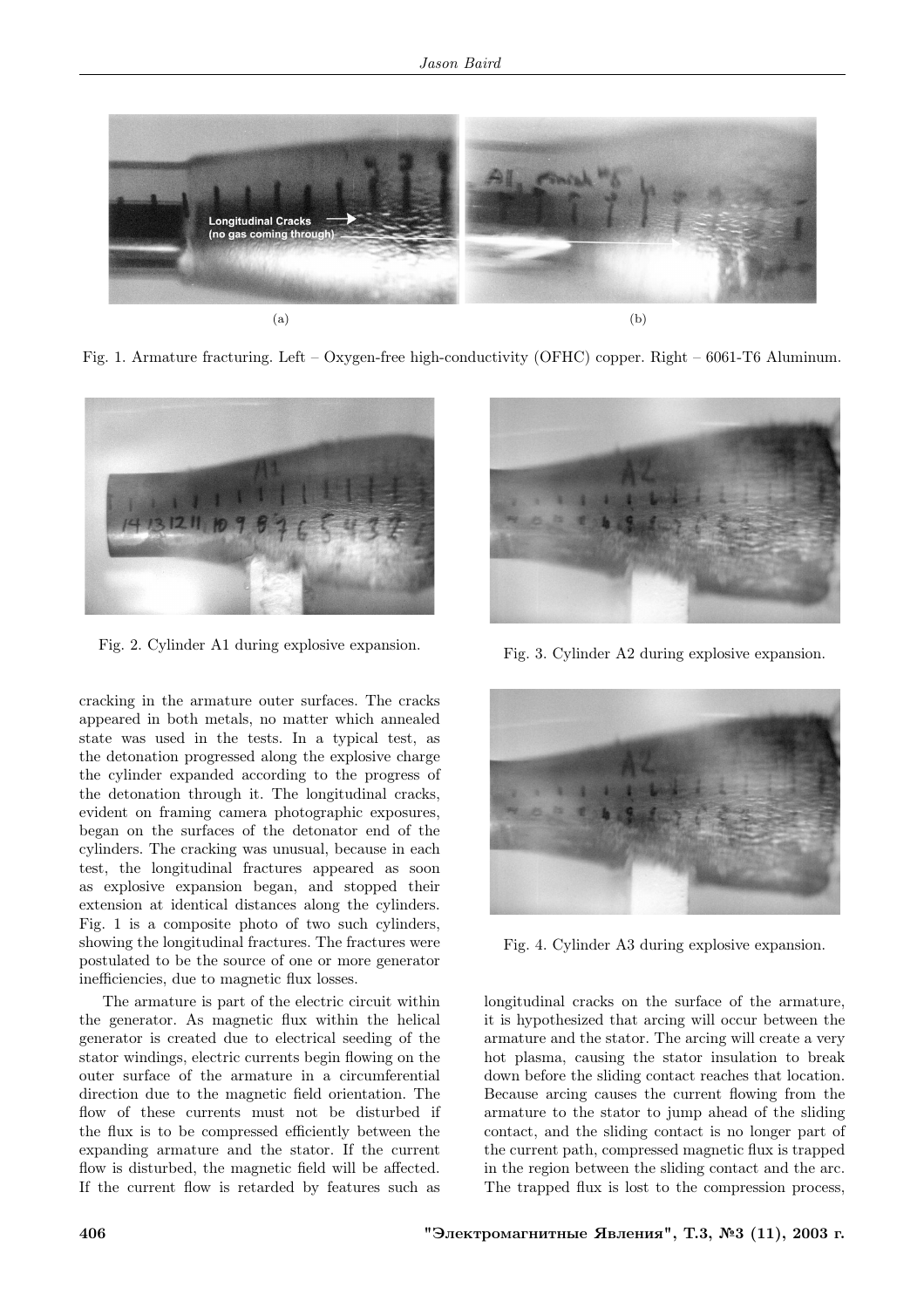

Fig. 1. Armature fracturing. Left – Oxygen-free high-conductivity (OFHC) copper. Right – 6061-T6 Aluminum.



Fig. 2. Cylinder A1 during explosive expansion.

cracking in the armature outer surfaces. The cracks appeared in both metals, no matter which annealed state was used in the tests. In a typical test, as the detonation progressed along the explosive charge the cylinder expanded according to the progress of the detonation through it. The longitudinal cracks, evident on framing camera photographic exposures, began on the surfaces of the detonator end of the cylinders. The cracking was unusual, because in each test, the longitudinal fractures appeared as soon as explosive expansion began, and stopped their extension at identical distances along the cylinders. Fig. 1 is a composite photo of two such cylinders, showing the longitudinal fractures. The fractures were postulated to be the source of one or more generator inefficiencies, due to magnetic flux losses.

The armature is part of the electric circuit within the generator. As magnetic flux within the helical generator is created due to electrical seeding of the stator windings, electric currents begin flowing on the outer surface of the armature in a circumferential direction due to the magnetic field orientation. The flow of these currents must not be disturbed if the flux is to be compressed efficiently between the expanding armature and the stator. If the current flow is disturbed, the magnetic field will be affected. If the current flow is retarded by features such as



Fig. 3. Cylinder A2 during explosive expansion.



Fig. 4. Cylinder A3 during explosive expansion.

longitudinal cracks on the surface of the armature, it is hypothesized that arcing will occur between the armature and the stator. The arcing will create a very hot plasma, causing the stator insulation to break down before the sliding contact reaches that location. Because arcing causes the current flowing from the armature to the stator to jump ahead of the sliding contact, and the sliding contact is no longer part of the current path, compressed magnetic flux is trapped in the region between the sliding contact and the arc. The trapped flux is lost to the compression process,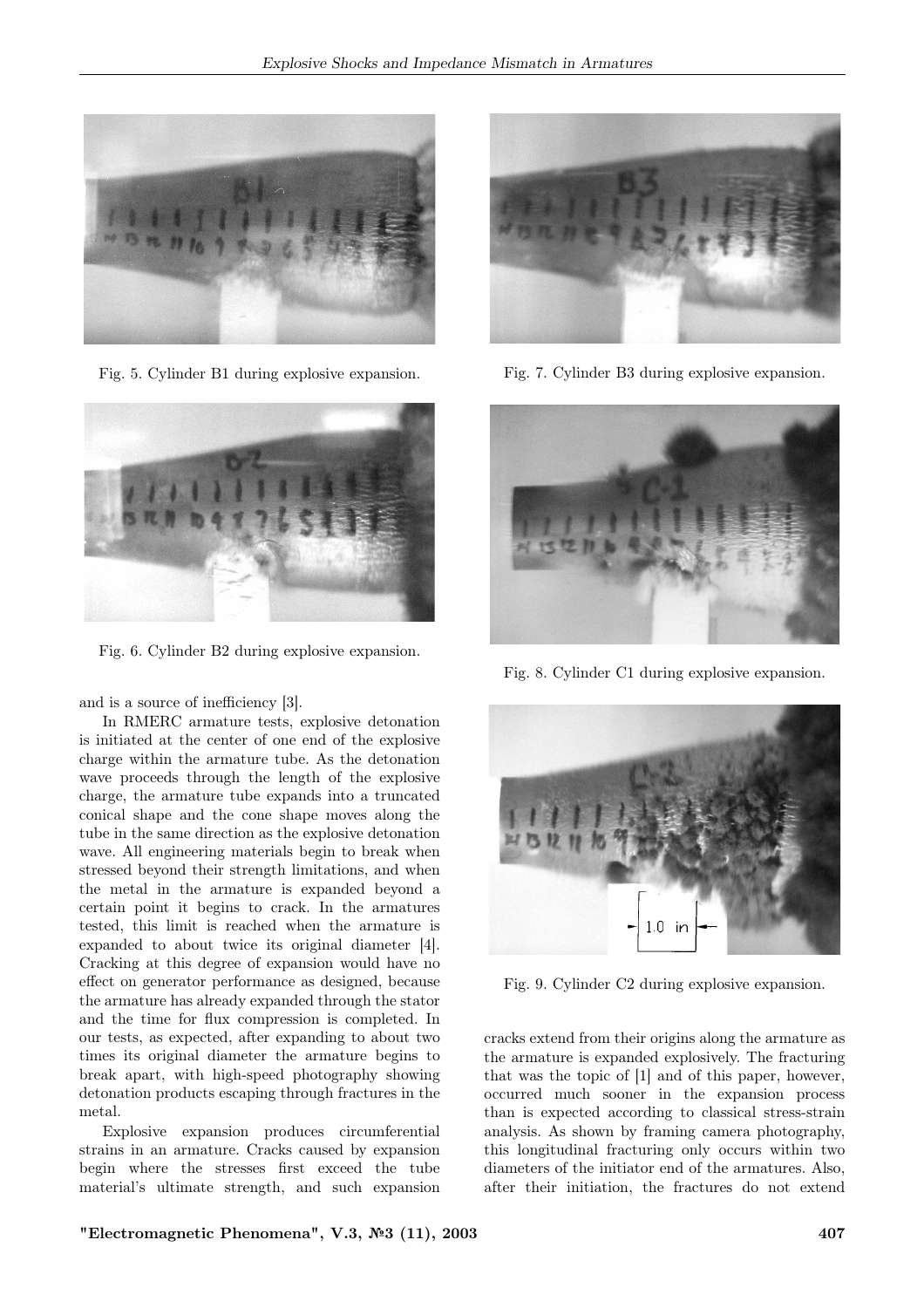

Fig. 5. Cylinder B1 during explosive expansion.



Fig. 6. Cylinder B2 during explosive expansion.

and is a source of inefficiency [3].

In RMERC armature tests, explosive detonation is initiated at the center of one end of the explosive charge within the armature tube. As the detonation wave proceeds through the length of the explosive charge, the armature tube expands into a truncated conical shape and the cone shape moves along the tube in the same direction as the explosive detonation wave. All engineering materials begin to break when stressed beyond their strength limitations, and when the metal in the armature is expanded beyond a certain point it begins to crack. In the armatures tested, this limit is reached when the armature is expanded to about twice its original diameter [4]. Cracking at this degree of expansion would have no effect on generator performance as designed, because the armature has already expanded through the stator and the time for flux compression is completed. In our tests, as expected, after expanding to about two times its original diameter the armature begins to break apart, with high-speed photography showing detonation products escaping through fractures in the metal.

Explosive expansion produces circumferential strains in an armature. Cracks caused by expansion begin where the stresses first exceed the tube material's ultimate strength, and such expansion



Fig. 7. Cylinder B3 during explosive expansion.



Fig. 8. Cylinder C1 during explosive expansion.



Fig. 9. Cylinder C2 during explosive expansion.

cracks extend from their origins along the armature as the armature is expanded explosively. The fracturing that was the topic of [1] and of this paper, however, occurred much sooner in the expansion process than is expected according to classical stress-strain analysis. As shown by framing camera photography, this longitudinal fracturing only occurs within two diameters of the initiator end of the armatures. Also, after their initiation, the fractures do not extend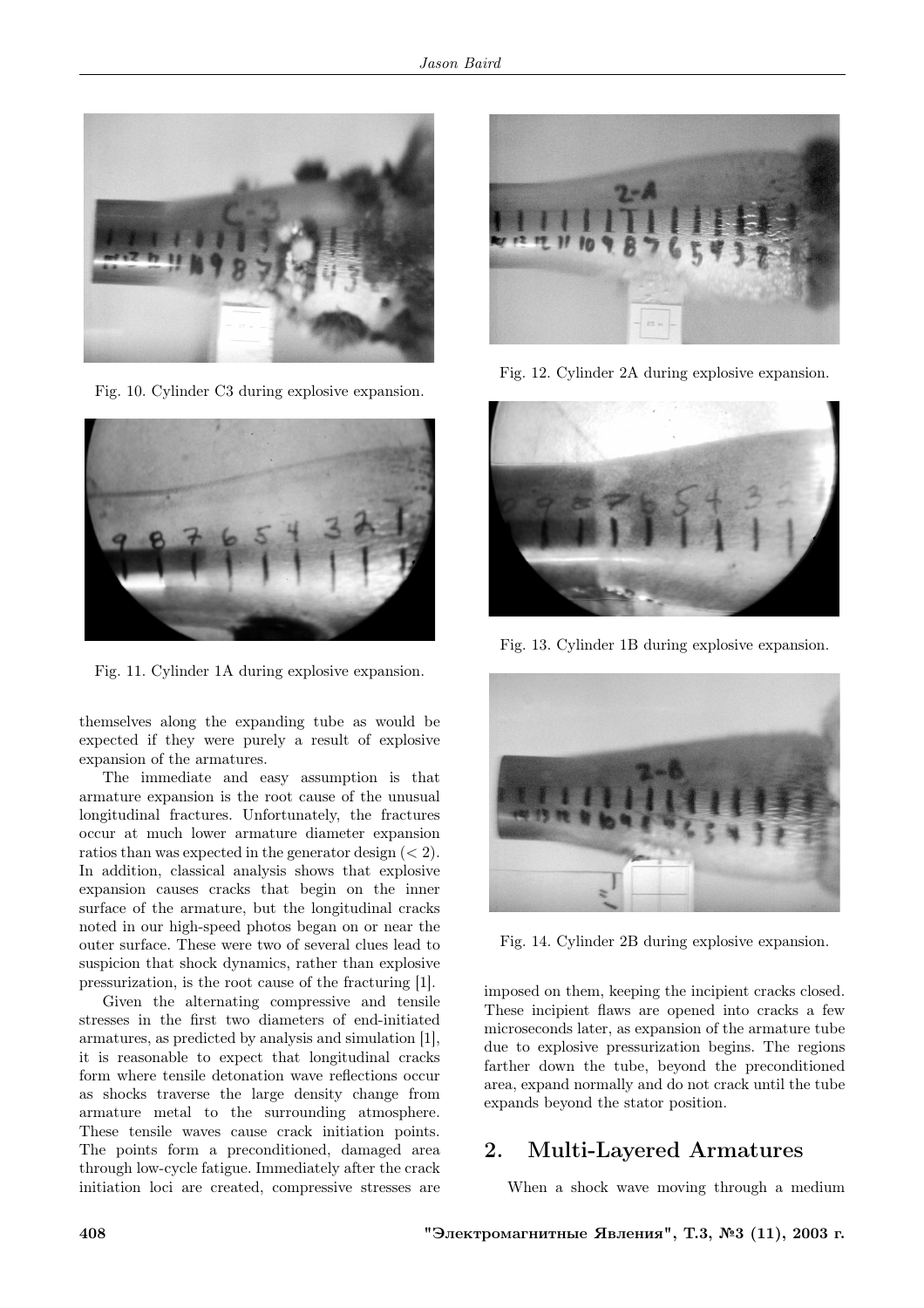

Fig. 10. Cylinder C3 during explosive expansion.



Fig. 11. Cylinder 1A during explosive expansion.

themselves along the expanding tube as would be expected if they were purely a result of explosive expansion of the armatures.

The immediate and easy assumption is that armature expansion is the root cause of the unusual longitudinal fractures. Unfortunately, the fractures occur at much lower armature diameter expansion ratios than was expected in the generator design  $(< 2$ ). In addition, classical analysis shows that explosive expansion causes cracks that begin on the inner surface of the armature, but the longitudinal cracks noted in our high-speed photos began on or near the outer surface. These were two of several clues lead to suspicion that shock dynamics, rather than explosive pressurization, is the root cause of the fracturing [1].

Given the alternating compressive and tensile stresses in the first two diameters of end-initiated armatures, as predicted by analysis and simulation [1], it is reasonable to expect that longitudinal cracks form where tensile detonation wave reflections occur as shocks traverse the large density change from armature metal to the surrounding atmosphere. These tensile waves cause crack initiation points. The points form a preconditioned, damaged area through low-cycle fatigue. Immediately after the crack initiation loci are created, compressive stresses are



Fig. 12. Cylinder 2A during explosive expansion.



Fig. 13. Cylinder 1B during explosive expansion.



Fig. 14. Cylinder 2B during explosive expansion.

imposed on them, keeping the incipient cracks closed. These incipient flaws are opened into cracks a few microseconds later, as expansion of the armature tube due to explosive pressurization begins. The regions farther down the tube, beyond the preconditioned area, expand normally and do not crack until the tube expands beyond the stator position.

# 2. Multi-Layered Armatures

When a shock wave moving through a medium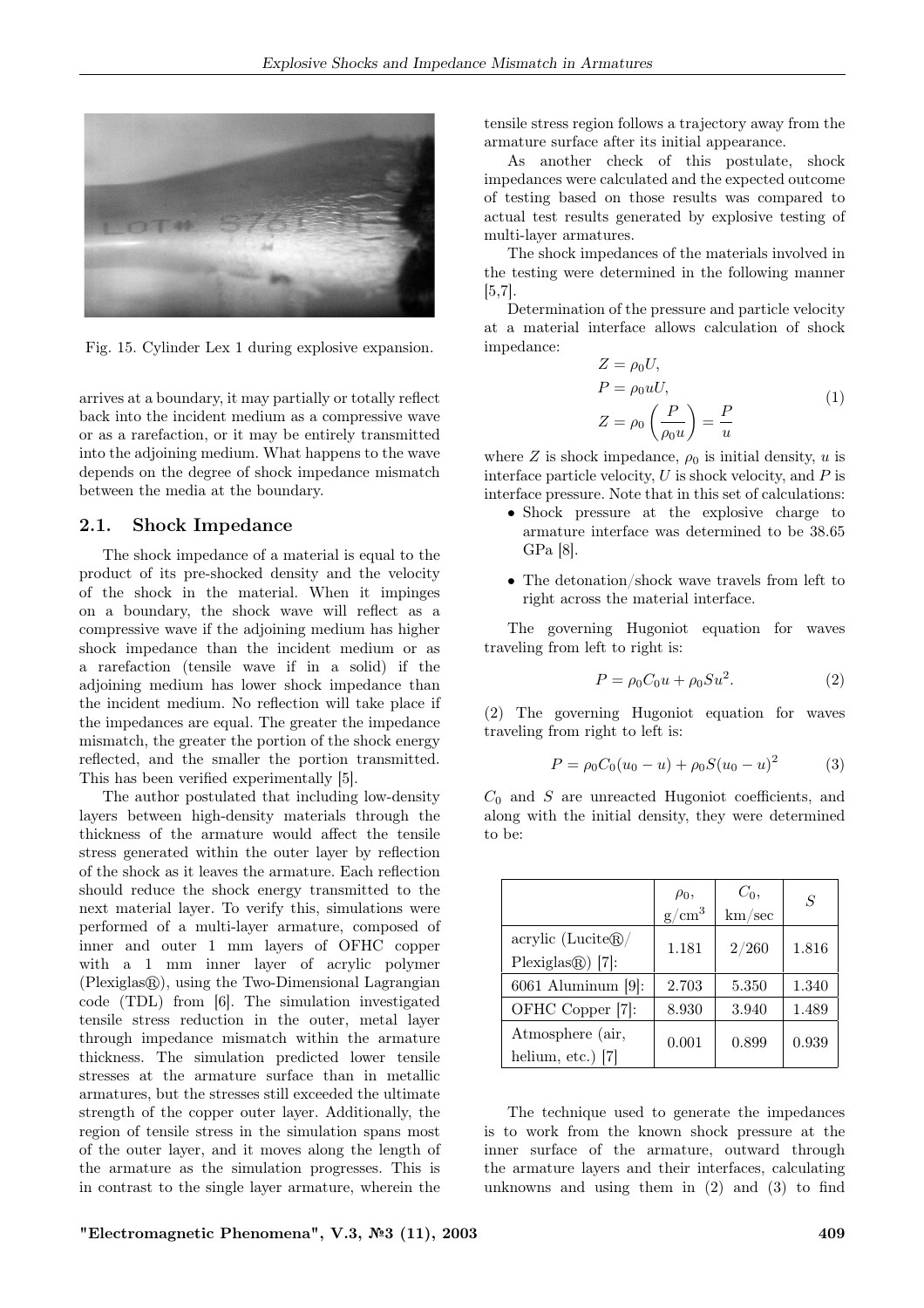

Fig. 15. Cylinder Lex 1 during explosive expansion.

arrives at a boundary, it may partially or totally reflect back into the incident medium as a compressive wave or as a rarefaction, or it may be entirely transmitted into the adjoining medium. What happens to the wave depends on the degree of shock impedance mismatch between the media at the boundary.

#### 2.1. Shock Impedance

The shock impedance of a material is equal to the product of its pre-shocked density and the velocity of the shock in the material. When it impinges on a boundary, the shock wave will reflect as a compressive wave if the adjoining medium has higher shock impedance than the incident medium or as a rarefaction (tensile wave if in a solid) if the adjoining medium has lower shock impedance than the incident medium. No reflection will take place if the impedances are equal. The greater the impedance mismatch, the greater the portion of the shock energy reflected, and the smaller the portion transmitted. This has been verified experimentally [5].

The author postulated that including low-density layers between high-density materials through the thickness of the armature would affect the tensile stress generated within the outer layer by reflection of the shock as it leaves the armature. Each reflection should reduce the shock energy transmitted to the next material layer. To verify this, simulations were performed of a multi-layer armature, composed of inner and outer 1 mm layers of OFHC copper with a 1 mm inner layer of acrylic polymer  $(Plexiglas)$ , using the Two-Dimensional Lagrangian code (TDL) from [6]. The simulation investigated tensile stress reduction in the outer, metal layer through impedance mismatch within the armature thickness. The simulation predicted lower tensile stresses at the armature surface than in metallic armatures, but the stresses still exceeded the ultimate strength of the copper outer layer. Additionally, the region of tensile stress in the simulation spans most of the outer layer, and it moves along the length of the armature as the simulation progresses. This is in contrast to the single layer armature, wherein the tensile stress region follows a trajectory away from the armature surface after its initial appearance.

As another check of this postulate, shock impedances were calculated and the expected outcome of testing based on those results was compared to actual test results generated by explosive testing of multi-layer armatures.

The shock impedances of the materials involved in the testing were determined in the following manner [5,7].

Determination of the pressure and particle velocity at a material interface allows calculation of shock impedance:

$$
Z = \rho_0 U,
$$
  
\n
$$
P = \rho_0 uU,
$$
  
\n
$$
Z = \rho_0 \left(\frac{P}{\rho_0 u}\right) = \frac{P}{u}
$$
\n(1)

where  $Z$  is shock impedance,  $\rho_0$  is initial density,  $u$  is interface particle velocity,  $U$  is shock velocity, and  $P$  is interface pressure. Note that in this set of calculations:

- Shock pressure at the explosive charge to armature interface was determined to be 38.65 GPa [8].
- The detonation/shock wave travels from left to right across the material interface.

The governing Hugoniot equation for waves traveling from left to right is:

$$
P = \rho_0 C_0 u + \rho_0 S u^2.
$$
 (2)

(2) The governing Hugoniot equation for waves traveling from right to left is:

$$
P = \rho_0 C_0 (u_0 - u) + \rho_0 S (u_0 - u)^2 \tag{3}
$$

 $C_0$  and  $S$  are unreacted Hugoniot coefficients, and along with the initial density, they were determined to be:

|                                         | $\rho_0$ ,<br>$g/cm^3$ | $C_0$ ,<br>km/sec | $\overline{S}$ |
|-----------------------------------------|------------------------|-------------------|----------------|
| $\arcsin(Lucite@)$<br>Plexiglas@() [7]: | 1.181                  | 2/260             | 1.816          |
| 6061 Aluminum [9]:                      | 2.703                  | 5.350             | 1.340          |
| OFHC Copper [7]:                        | 8.930                  | 3.940             | 1.489          |
| Atmosphere (air,<br>helium, etc.) [7]   | 0.001                  | 0.899             | 0.939          |

The technique used to generate the impedances is to work from the known shock pressure at the inner surface of the armature, outward through the armature layers and their interfaces, calculating unknowns and using them in (2) and (3) to find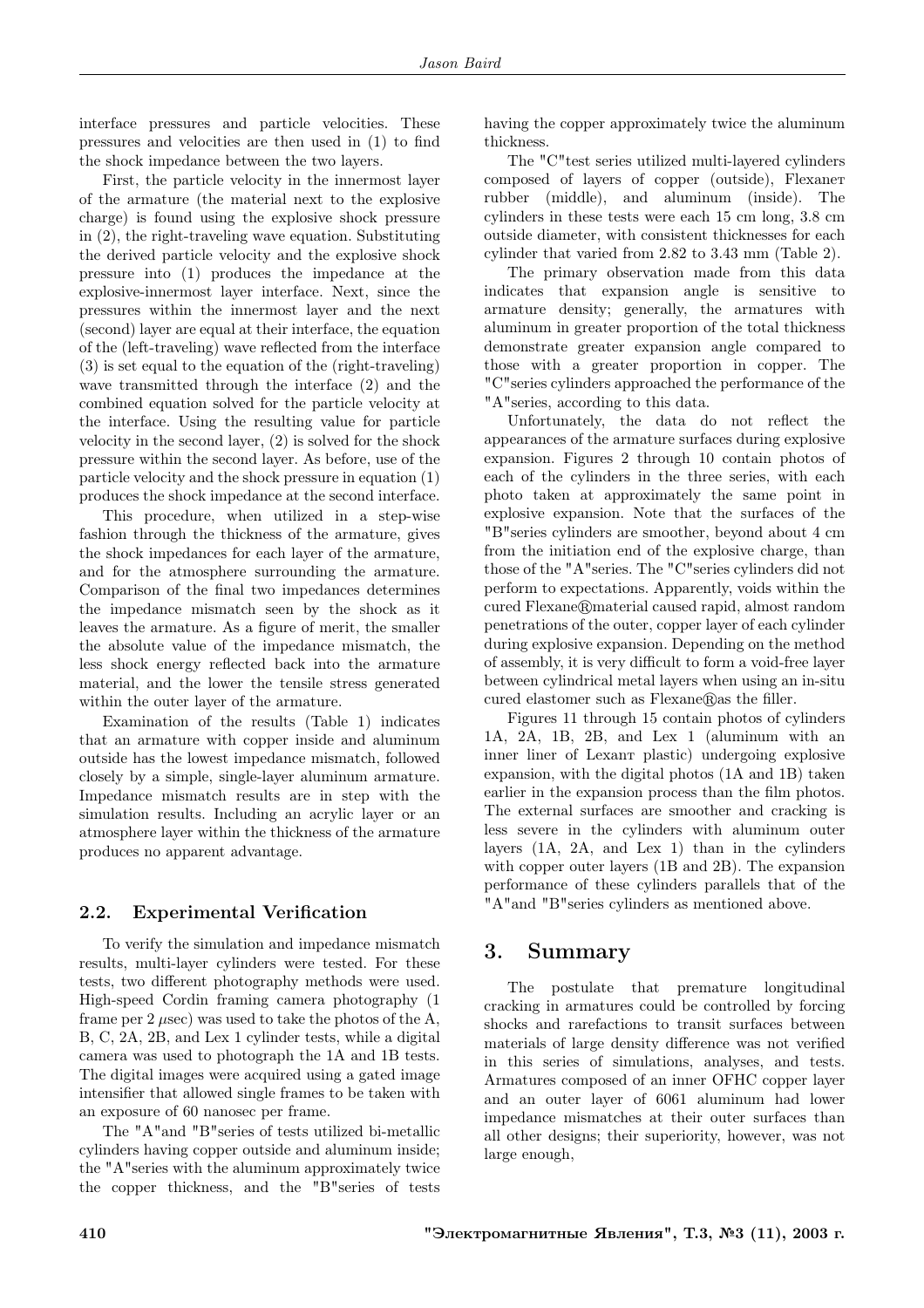interface pressures and particle velocities. These pressures and velocities are then used in (1) to find the shock impedance between the two layers.

First, the particle velocity in the innermost layer of the armature (the material next to the explosive charge) is found using the explosive shock pressure in (2), the right-traveling wave equation. Substituting the derived particle velocity and the explosive shock pressure into (1) produces the impedance at the explosive-innermost layer interface. Next, since the pressures within the innermost layer and the next (second) layer are equal at their interface, the equation of the (left-traveling) wave reflected from the interface (3) is set equal to the equation of the (right-traveling) wave transmitted through the interface (2) and the combined equation solved for the particle velocity at the interface. Using the resulting value for particle velocity in the second layer, (2) is solved for the shock pressure within the second layer. As before, use of the particle velocity and the shock pressure in equation (1) produces the shock impedance at the second interface.

This procedure, when utilized in a step-wise fashion through the thickness of the armature, gives the shock impedances for each layer of the armature, and for the atmosphere surrounding the armature. Comparison of the final two impedances determines the impedance mismatch seen by the shock as it leaves the armature. As a figure of merit, the smaller the absolute value of the impedance mismatch, the less shock energy reflected back into the armature material, and the lower the tensile stress generated within the outer layer of the armature.

Examination of the results (Table 1) indicates that an armature with copper inside and aluminum outside has the lowest impedance mismatch, followed closely by a simple, single-layer aluminum armature. Impedance mismatch results are in step with the simulation results. Including an acrylic layer or an atmosphere layer within the thickness of the armature produces no apparent advantage.

#### 2.2. Experimental Verification

To verify the simulation and impedance mismatch results, multi-layer cylinders were tested. For these tests, two different photography methods were used. High-speed Cordin framing camera photography (1 frame per 2  $\mu$ sec) was used to take the photos of the A, B, C, 2A, 2B, and Lex 1 cylinder tests, while a digital camera was used to photograph the 1A and 1B tests. The digital images were acquired using a gated image intensifier that allowed single frames to be taken with an exposure of 60 nanosec per frame.

The "A"and "B"series of tests utilized bi-metallic cylinders having copper outside and aluminum inside; the "A"series with the aluminum approximately twice the copper thickness, and the "B"series of tests having the copper approximately twice the aluminum thickness.

The "C"test series utilized multi-layered cylinders composed of layers of copper (outside), Flexaneт rubber (middle), and aluminum (inside). The cylinders in these tests were each 15 cm long, 3.8 cm outside diameter, with consistent thicknesses for each cylinder that varied from 2.82 to 3.43 mm (Table 2).

The primary observation made from this data indicates that expansion angle is sensitive to armature density; generally, the armatures with aluminum in greater proportion of the total thickness demonstrate greater expansion angle compared to those with a greater proportion in copper. The "C"series cylinders approached the performance of the "A"series, according to this data.

Unfortunately, the data do not reflect the appearances of the armature surfaces during explosive expansion. Figures 2 through 10 contain photos of each of the cylinders in the three series, with each photo taken at approximately the same point in explosive expansion. Note that the surfaces of the "B"series cylinders are smoother, beyond about 4 cm from the initiation end of the explosive charge, than those of the "A"series. The "C"series cylinders did not perform to expectations. Apparently, voids within the cured Flexane@material caused rapid, almost random penetrations of the outer, copper layer of each cylinder during explosive expansion. Depending on the method of assembly, it is very difficult to form a void-free layer between cylindrical metal layers when using an in-situ cured elastomer such as  $Flexane@$ as the filler.

Figures 11 through 15 contain photos of cylinders 1A, 2A, 1B, 2B, and Lex 1 (aluminum with an inner liner of Lexanт plastic) undergoing explosive expansion, with the digital photos (1A and 1B) taken earlier in the expansion process than the film photos. The external surfaces are smoother and cracking is less severe in the cylinders with aluminum outer layers (1A, 2A, and Lex 1) than in the cylinders with copper outer layers (1B and 2B). The expansion performance of these cylinders parallels that of the "A"and "B"series cylinders as mentioned above.

## 3. Summary

The postulate that premature longitudinal cracking in armatures could be controlled by forcing shocks and rarefactions to transit surfaces between materials of large density difference was not verified in this series of simulations, analyses, and tests. Armatures composed of an inner OFHC copper layer and an outer layer of 6061 aluminum had lower impedance mismatches at their outer surfaces than all other designs; their superiority, however, was not large enough,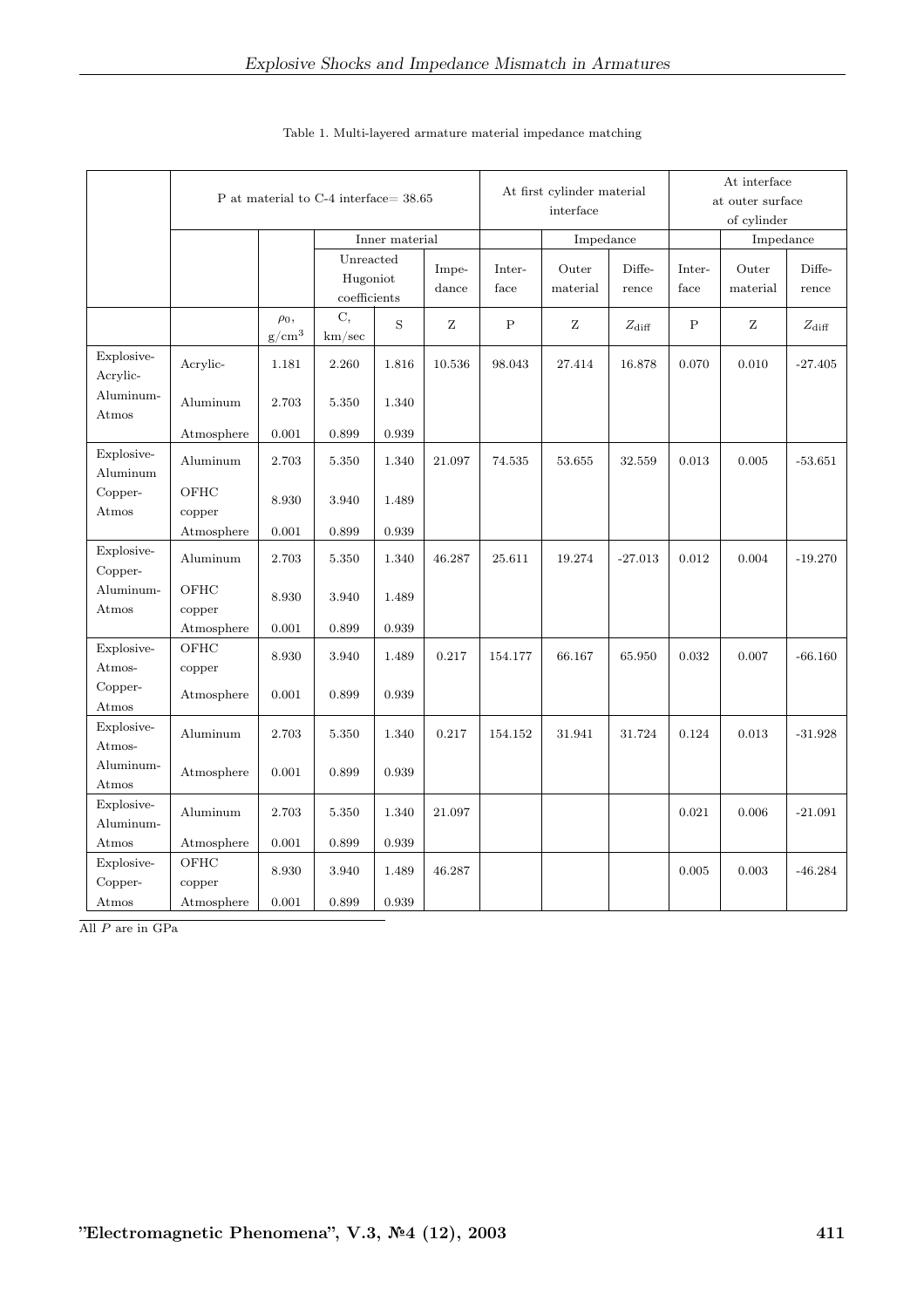|                         | P at material to C-4 interface= 38.65 |                        |                                       |             |                | At first cylinder material<br>interface |                   |                 | At interface<br>at outer surface<br>of cylinder |                   |                 |
|-------------------------|---------------------------------------|------------------------|---------------------------------------|-------------|----------------|-----------------------------------------|-------------------|-----------------|-------------------------------------------------|-------------------|-----------------|
|                         |                                       |                        | Inner material                        |             |                | Impedance                               |                   |                 |                                                 | Impedance         |                 |
|                         |                                       |                        | Unreacted<br>Hugoniot<br>coefficients |             | Impe-<br>dance | Inter-<br>face                          | Outer<br>material | Diffe-<br>rence | Inter-<br>face                                  | Outer<br>material | Diffe-<br>rence |
|                         |                                       | $\rho_0$ ,<br>$g/cm^3$ | C,<br>km/sec                          | $\mathbf S$ | Ζ              | $\mathbf P$                             | Ζ                 | $Z_{\rm diff}$  | $\mathbf P$                                     | Ζ                 | $Z_{\rm diff}$  |
| Explosive-<br>Acrylic-  | Acrylic-                              | 1.181                  | 2.260                                 | 1.816       | 10.536         | 98.043                                  | 27.414            | 16.878          | 0.070                                           | 0.010             | $-27.405$       |
| Aluminum-<br>Atmos      | Aluminum                              | 2.703                  | 5.350                                 | 1.340       |                |                                         |                   |                 |                                                 |                   |                 |
|                         | Atmosphere                            | 0.001                  | 0.899                                 | 0.939       |                |                                         |                   |                 |                                                 |                   |                 |
| Explosive-<br>Aluminum  | Aluminum                              | 2.703                  | 5.350                                 | 1.340       | 21.097         | 74.535                                  | 53.655            | 32.559          | 0.013                                           | 0.005             | $-53.651$       |
| Copper-<br>Atmos        | OFHC<br>copper                        | 8.930                  | 3.940                                 | 1.489       |                |                                         |                   |                 |                                                 |                   |                 |
|                         | Atmosphere                            | 0.001                  | 0.899                                 | 0.939       |                |                                         |                   |                 |                                                 |                   |                 |
| Explosive-<br>Copper-   | Aluminum                              | 2.703                  | 5.350                                 | 1.340       | 46.287         | 25.611                                  | 19.274            | $-27.013$       | 0.012                                           | 0.004             | $-19.270$       |
| Aluminum-<br>Atmos      | OFHC<br>copper                        | 8.930                  | 3.940                                 | 1.489       |                |                                         |                   |                 |                                                 |                   |                 |
|                         | Atmosphere                            | 0.001                  | 0.899                                 | 0.939       |                |                                         |                   |                 |                                                 |                   |                 |
| Explosive-<br>Atmos-    | OFHC<br>copper                        | 8.930                  | 3.940                                 | 1.489       | 0.217          | 154.177                                 | 66.167            | 65.950          | 0.032                                           | 0.007             | $-66.160$       |
| Copper-<br>Atmos        | Atmosphere                            | 0.001                  | 0.899                                 | 0.939       |                |                                         |                   |                 |                                                 |                   |                 |
| Explosive-<br>Atmos-    | Aluminum                              | 2.703                  | 5.350                                 | 1.340       | 0.217          | 154.152                                 | 31.941            | 31.724          | 0.124                                           | 0.013             | $-31.928$       |
| Aluminum-<br>Atmos      | Atmosphere                            | 0.001                  | 0.899                                 | 0.939       |                |                                         |                   |                 |                                                 |                   |                 |
| Explosive-<br>Aluminum- | Aluminum                              | 2.703                  | 5.350                                 | 1.340       | 21.097         |                                         |                   |                 | 0.021                                           | 0.006             | $-21.091$       |
| Atmos                   | Atmosphere                            | 0.001                  | 0.899                                 | 0.939       |                |                                         |                   |                 |                                                 |                   |                 |
| Explosive-<br>Copper-   | OFHC<br>copper                        | 8.930                  | 3.940                                 | 1.489       | 46.287         |                                         |                   |                 | 0.005                                           | 0.003             | $-46.284$       |
| Atmos                   | Atmosphere                            | 0.001                  | 0.899                                 | 0.939       |                |                                         |                   |                 |                                                 |                   |                 |

#### Table 1. Multi-layered armature material impedance matching

All P are in GPa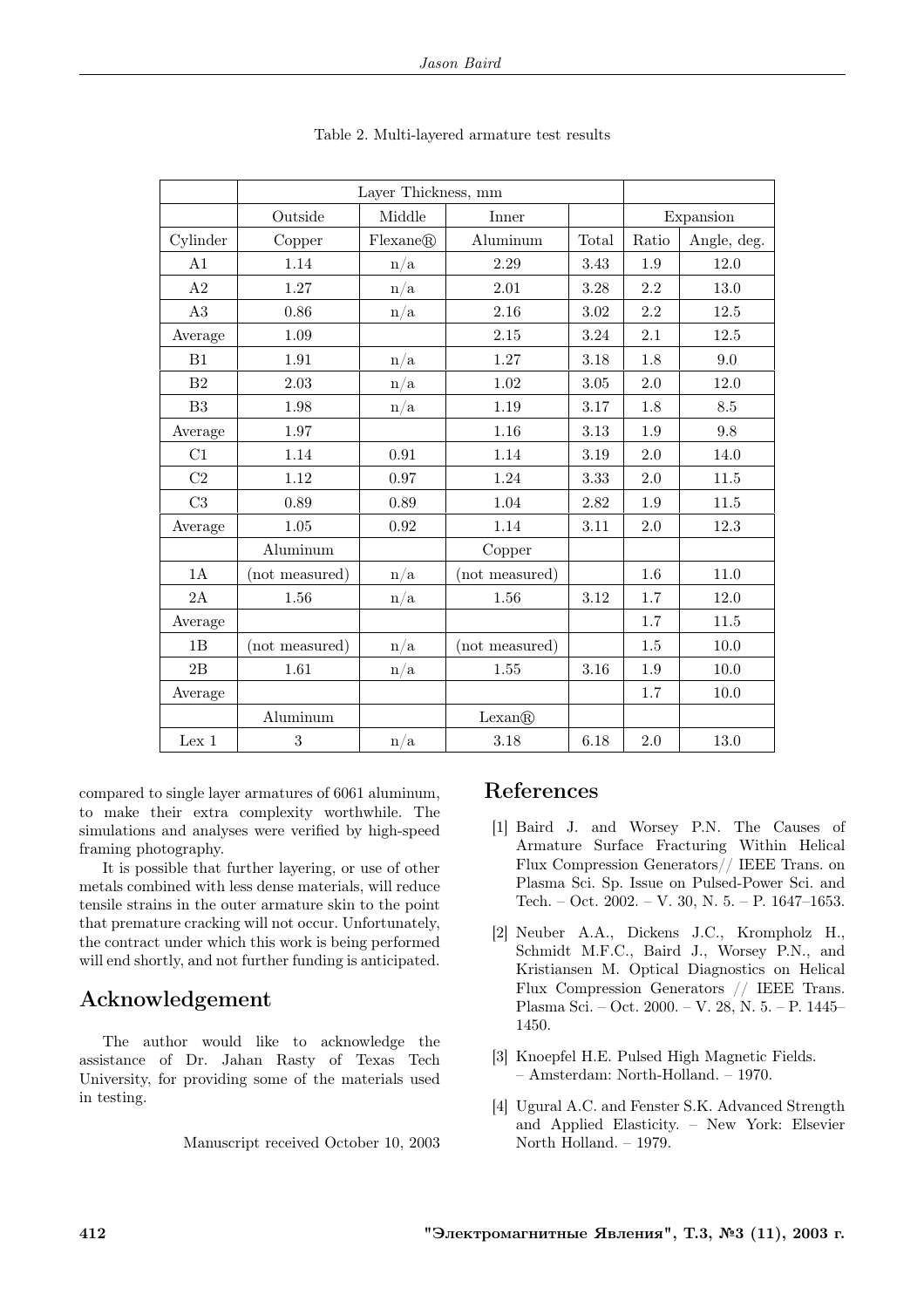|                | Layer Thickness, mm |                         |                |           |       |             |
|----------------|---------------------|-------------------------|----------------|-----------|-------|-------------|
|                | Outside             | Middle                  | Inner          | Expansion |       |             |
| Cylinder       | Copper              | Flexane@                | Aluminum       | Total     | Ratio | Angle, deg. |
| A <sub>1</sub> | 1.14                | n/a                     | 2.29           | 3.43      | 1.9   | 12.0        |
| A2             | 1.27                | $\mathrm{n}/\mathrm{a}$ | 2.01           | 3.28      | 2.2   | 13.0        |
| A3             | 0.86                | n/a                     | 2.16           | 3.02      | 2.2   | 12.5        |
| Average        | 1.09                |                         | 2.15           | 3.24      | 2.1   | 12.5        |
| B1             | 1.91                | n/a                     | 1.27           | 3.18      | 1.8   | 9.0         |
| B <sub>2</sub> | 2.03                | n/a                     | 1.02           | 3.05      | 2.0   | 12.0        |
| B3             | 1.98                | $\mathrm{n}/\mathrm{a}$ | 1.19           | 3.17      | 1.8   | 8.5         |
| Average        | 1.97                |                         | 1.16           | 3.13      | 1.9   | 9.8         |
| C1             | 1.14                | 0.91                    | 1.14           | 3.19      | 2.0   | 14.0        |
| C2             | 1.12                | 0.97                    | 1.24           | 3.33      | 2.0   | 11.5        |
| C3             | 0.89                | 0.89                    | 1.04           | 2.82      | 1.9   | 11.5        |
| Average        | $1.05\,$            | 0.92                    | 1.14           | 3.11      | 2.0   | 12.3        |
|                | Aluminum            |                         | Copper         |           |       |             |
| 1A             | (not measured)      | n/a                     | (not measured) |           | 1.6   | 11.0        |
| 2A             | 1.56                | n/a                     | 1.56           | 3.12      | 1.7   | 12.0        |
| Average        |                     |                         |                |           | 1.7   | 11.5        |
| 1B             | (not measured)      | n/a                     | (not measured) |           | 1.5   | 10.0        |
| 2B             | 1.61                | n/a                     | 1.55           | 3.16      | 1.9   | 10.0        |
| Average        |                     |                         |                |           | 1.7   | 10.0        |
|                | Aluminum            |                         | Lexan@         |           |       |             |
| Lex 1          | 3                   | n/a                     | 3.18           | 6.18      | 2.0   | 13.0        |

compared to single layer armatures of 6061 aluminum, to make their extra complexity worthwhile. The simulations and analyses were verified by high-speed framing photography.

It is possible that further layering, or use of other metals combined with less dense materials, will reduce tensile strains in the outer armature skin to the point that premature cracking will not occur. Unfortunately, the contract under which this work is being performed will end shortly, and not further funding is anticipated.

# Acknowledgement

The author would like to acknowledge the assistance of Dr. Jahan Rasty of Texas Tech University, for providing some of the materials used in testing.

Manuscript received October 10, 2003

## References

- [1] Baird J. and Worsey P.N. The Causes of Armature Surface Fracturing Within Helical Flux Compression Generators// IEEE Trans. on Plasma Sci. Sp. Issue on Pulsed-Power Sci. and Tech. – Oct. 2002. – V. 30, N. 5. – P. 1647–1653.
- [2] Neuber A.A., Dickens J.C., Krompholz H., Schmidt M.F.C., Baird J., Worsey P.N., and Kristiansen M. Optical Diagnostics on Helical Flux Compression Generators // IEEE Trans. Plasma Sci. – Oct. 2000. – V. 28, N. 5. – P. 1445– 1450.
- [3] Knoepfel H.E. Pulsed High Magnetic Fields. – Amsterdam: North-Holland. – 1970.
- [4] Ugural A.C. and Fenster S.K. Advanced Strength and Applied Elasticity. – New York: Elsevier North Holland. – 1979.